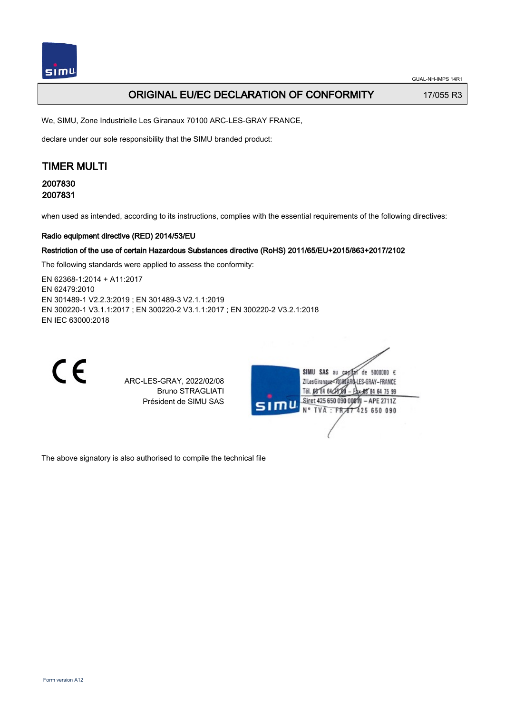GUAL-NH-IMPS 14R1

## **ORIGINAL EU/EC DECLARATION OF CONFORMITY** 17/055 R3

We, SIMU, Zone Industrielle Les Giranaux 70100 ARC-LES-GRAY FRANCE,

declare under our sole responsibility that the SIMU branded product:

# TIMER MULTI

2007830 2007831

when used as intended, according to its instructions, complies with the essential requirements of the following directives:

### Radio equipment directive (RED) 2014/53/EU

#### Restriction of the use of certain Hazardous Substances directive (RoHS) 2011/65/EU+2015/863+2017/2102

The following standards were applied to assess the conformity:

EN 62368‑1:2014 + A11:2017 EN 62479:2010 EN 301489‑1 V2.2.3:2019 ; EN 301489‑3 V2.1.1:2019 EN 300220‑1 V3.1.1:2017 ; EN 300220‑2 V3.1.1:2017 ; EN 300220‑2 V3.2.1:2018 EN IEC 63000:2018



ARC-LES-GRAY, 2022/02/08 Bruno STRAGLIATI Président de SIMU SAS



The above signatory is also authorised to compile the technical file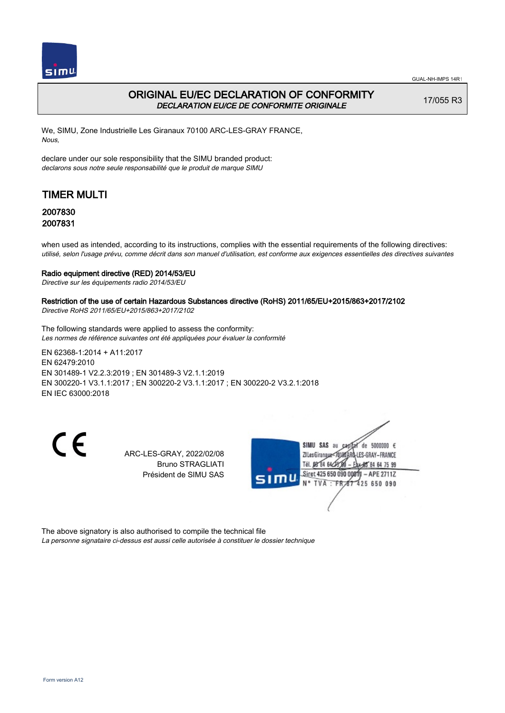

## ORIGINAL EU/EC DECLARATION OF CONFORMITY DECLARATION EU/CE DE CONFORMITE ORIGINALE

17/055 R3

We, SIMU, Zone Industrielle Les Giranaux 70100 ARC-LES-GRAY FRANCE, Nous,

declare under our sole responsibility that the SIMU branded product: declarons sous notre seule responsabilité que le produit de marque SIMU

# TIMER MULTI

### 2007830 2007831

when used as intended, according to its instructions, complies with the essential requirements of the following directives: utilisé, selon l'usage prévu, comme décrit dans son manuel d'utilisation, est conforme aux exigences essentielles des directives suivantes

### Radio equipment directive (RED) 2014/53/EU

Directive sur les équipements radio 2014/53/EU

### Restriction of the use of certain Hazardous Substances directive (RoHS) 2011/65/EU+2015/863+2017/2102

Directive RoHS 2011/65/EU+2015/863+2017/2102

The following standards were applied to assess the conformity: Les normes de référence suivantes ont été appliquées pour évaluer la conformité

EN 62368‑1:2014 + A11:2017 EN 62479:2010 EN 301489‑1 V2.2.3:2019 ; EN 301489‑3 V2.1.1:2019 EN 300220‑1 V3.1.1:2017 ; EN 300220‑2 V3.1.1:2017 ; EN 300220‑2 V3.2.1:2018 EN IEC 63000:2018

CE

ARC-LES-GRAY, 2022/02/08 Bruno STRAGLIATI Président de SIMU SAS



The above signatory is also authorised to compile the technical file La personne signataire ci-dessus est aussi celle autorisée à constituer le dossier technique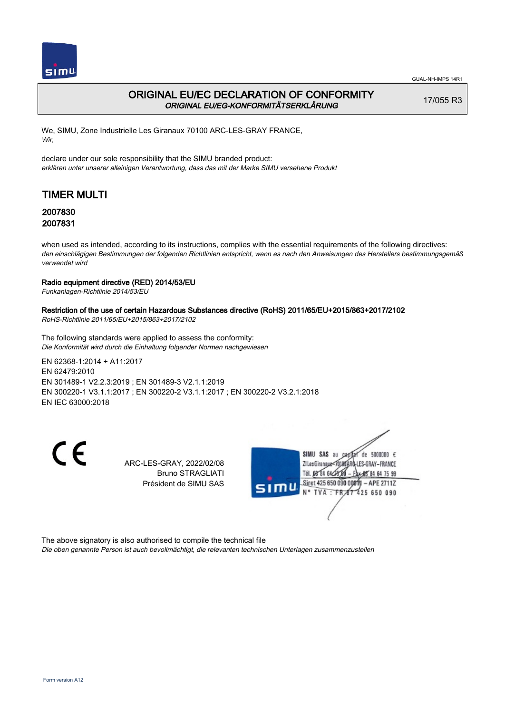

## ORIGINAL EU/EC DECLARATION OF CONFORMITY ORIGINAL EU/EG-KONFORMITÄTSERKLÄRUNG

17/055 R3

We, SIMU, Zone Industrielle Les Giranaux 70100 ARC-LES-GRAY FRANCE, Wir,

declare under our sole responsibility that the SIMU branded product: erklären unter unserer alleinigen Verantwortung, dass das mit der Marke SIMU versehene Produkt

# TIMER MULTI

### 2007830 2007831

when used as intended, according to its instructions, complies with the essential requirements of the following directives: den einschlägigen Bestimmungen der folgenden Richtlinien entspricht, wenn es nach den Anweisungen des Herstellers bestimmungsgemäß verwendet wird

### Radio equipment directive (RED) 2014/53/EU

Funkanlagen-Richtlinie 2014/53/EU

### Restriction of the use of certain Hazardous Substances directive (RoHS) 2011/65/EU+2015/863+2017/2102

RoHS-Richtlinie 2011/65/EU+2015/863+2017/2102

The following standards were applied to assess the conformity: Die Konformität wird durch die Einhaltung folgender Normen nachgewiesen

EN 62368‑1:2014 + A11:2017 EN 62479:2010 EN 301489‑1 V2.2.3:2019 ; EN 301489‑3 V2.1.1:2019 EN 300220‑1 V3.1.1:2017 ; EN 300220‑2 V3.1.1:2017 ; EN 300220‑2 V3.2.1:2018 EN IEC 63000:2018

 $\epsilon$ 

ARC-LES-GRAY, 2022/02/08 Bruno STRAGLIATI Président de SIMU SAS



The above signatory is also authorised to compile the technical file

Die oben genannte Person ist auch bevollmächtigt, die relevanten technischen Unterlagen zusammenzustellen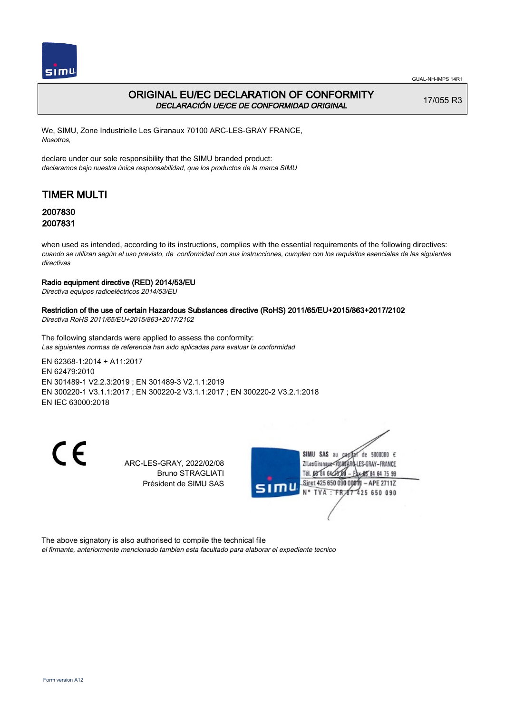

## ORIGINAL EU/EC DECLARATION OF CONFORMITY DECLARACIÓN UE/CE DE CONFORMIDAD ORIGINAL

17/055 R3

We, SIMU, Zone Industrielle Les Giranaux 70100 ARC-LES-GRAY FRANCE, Nosotros,

declare under our sole responsibility that the SIMU branded product: declaramos bajo nuestra única responsabilidad, que los productos de la marca SIMU

# TIMER MULTI

### 2007830 2007831

when used as intended, according to its instructions, complies with the essential requirements of the following directives: cuando se utilizan según el uso previsto, de conformidad con sus instrucciones, cumplen con los requisitos esenciales de las siguientes directivas

### Radio equipment directive (RED) 2014/53/EU

Directiva equipos radioeléctricos 2014/53/EU

### Restriction of the use of certain Hazardous Substances directive (RoHS) 2011/65/EU+2015/863+2017/2102

Directiva RoHS 2011/65/EU+2015/863+2017/2102

The following standards were applied to assess the conformity: Las siguientes normas de referencia han sido aplicadas para evaluar la conformidad

EN 62368‑1:2014 + A11:2017 EN 62479:2010 EN 301489‑1 V2.2.3:2019 ; EN 301489‑3 V2.1.1:2019 EN 300220‑1 V3.1.1:2017 ; EN 300220‑2 V3.1.1:2017 ; EN 300220‑2 V3.2.1:2018 EN IEC 63000:2018

 $\epsilon$ 

ARC-LES-GRAY, 2022/02/08 Bruno STRAGLIATI Président de SIMU SAS



The above signatory is also authorised to compile the technical file

el firmante, anteriormente mencionado tambien esta facultado para elaborar el expediente tecnico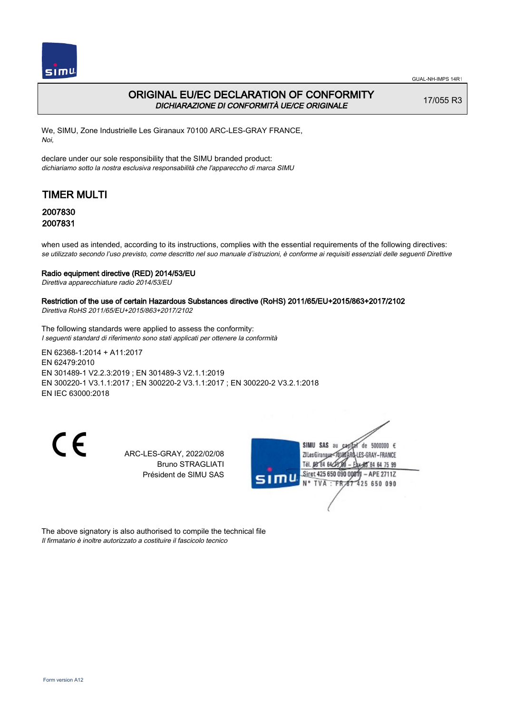

## ORIGINAL EU/EC DECLARATION OF CONFORMITY DICHIARAZIONE DI CONFORMITÀ UE/CE ORIGINALE

17/055 R3

We, SIMU, Zone Industrielle Les Giranaux 70100 ARC-LES-GRAY FRANCE, Noi,

declare under our sole responsibility that the SIMU branded product: dichiariamo sotto la nostra esclusiva responsabilità che l'appareccho di marca SIMU

# TIMER MULTI

### 2007830 2007831

when used as intended, according to its instructions, complies with the essential requirements of the following directives: se utilizzato secondo l'uso previsto, come descritto nel suo manuale d'istruzioni, è conforme ai requisiti essenziali delle seguenti Direttive

#### Radio equipment directive (RED) 2014/53/EU

Direttiva apparecchiature radio 2014/53/EU

### Restriction of the use of certain Hazardous Substances directive (RoHS) 2011/65/EU+2015/863+2017/2102

Direttiva RoHS 2011/65/EU+2015/863+2017/2102

The following standards were applied to assess the conformity: I seguenti standard di riferimento sono stati applicati per ottenere la conformità

EN 62368‑1:2014 + A11:2017 EN 62479:2010 EN 301489‑1 V2.2.3:2019 ; EN 301489‑3 V2.1.1:2019 EN 300220‑1 V3.1.1:2017 ; EN 300220‑2 V3.1.1:2017 ; EN 300220‑2 V3.2.1:2018 EN IEC 63000:2018

CE

ARC-LES-GRAY, 2022/02/08 Bruno STRAGLIATI Président de SIMU SAS



The above signatory is also authorised to compile the technical file Il firmatario è inoltre autorizzato a costituire il fascicolo tecnico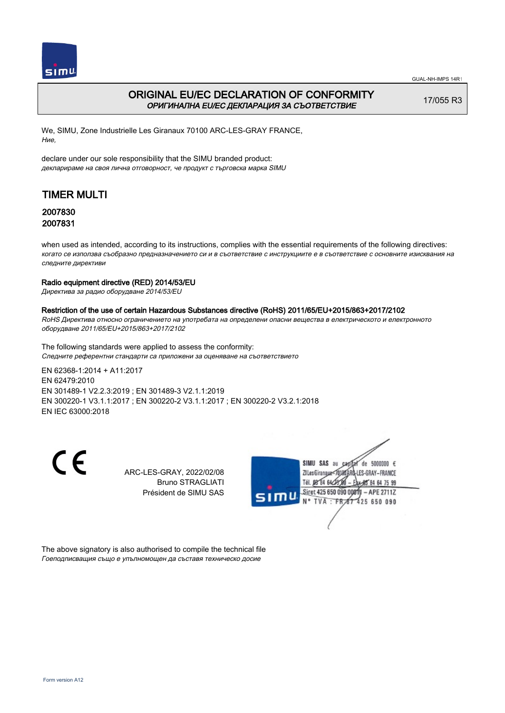

## ORIGINAL EU/EC DECLARATION OF CONFORMITY ОРИГИНАЛНА EU/EC ДЕКЛАРАЦИЯ ЗА СЪОТВЕТСТВИЕ

17/055 R3

We, SIMU, Zone Industrielle Les Giranaux 70100 ARC-LES-GRAY FRANCE, Ние,

declare under our sole responsibility that the SIMU branded product: декларираме на своя лична отговорност, че продукт с търговска марка SIMU

# TIMER MULTI

### 2007830 2007831

when used as intended, according to its instructions, complies with the essential requirements of the following directives: когато се използва съобразно предназначението си и в съответствие с инструкциите е в съответствие с основните изисквания на следните директиви

### Radio equipment directive (RED) 2014/53/EU

Директива за радио оборудване 2014/53/EU

### Restriction of the use of certain Hazardous Substances directive (RoHS) 2011/65/EU+2015/863+2017/2102

RoHS Директива относно ограничението на употребата на определени опасни вещества в електрическото и електронното оборудване 2011/65/EU+2015/863+2017/2102

The following standards were applied to assess the conformity: Следните референтни стандарти са приложени за оценяване на съответствието

EN 62368‑1:2014 + A11:2017 EN 62479:2010 EN 301489‑1 V2.2.3:2019 ; EN 301489‑3 V2.1.1:2019 EN 300220‑1 V3.1.1:2017 ; EN 300220‑2 V3.1.1:2017 ; EN 300220‑2 V3.2.1:2018 EN IEC 63000:2018

CE

ARC-LES-GRAY, 2022/02/08 Bruno STRAGLIATI Président de SIMU SAS



The above signatory is also authorised to compile the technical file Гоеподписващия също е упълномощен да съставя техническо досие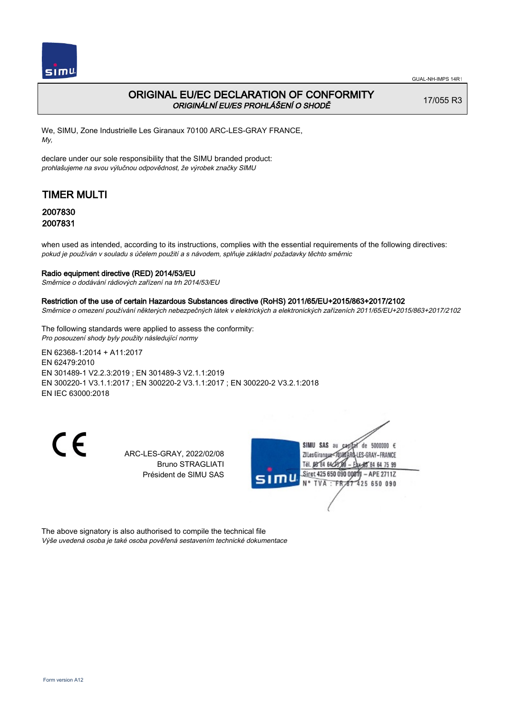

## ORIGINAL EU/EC DECLARATION OF CONFORMITY ORIGINÁLNÍ EU/ES PROHLÁŠENÍ O SHODĚ

17/055 R3

We, SIMU, Zone Industrielle Les Giranaux 70100 ARC-LES-GRAY FRANCE, My,

declare under our sole responsibility that the SIMU branded product: prohlašujeme na svou výlučnou odpovědnost, že výrobek značky SIMU

# TIMER MULTI

### 2007830 2007831

when used as intended, according to its instructions, complies with the essential requirements of the following directives: pokud je používán v souladu s účelem použití a s návodem, splňuje základní požadavky těchto směrnic

### Radio equipment directive (RED) 2014/53/EU

Směrnice o dodávání rádiových zařízení na trh 2014/53/EU

#### Restriction of the use of certain Hazardous Substances directive (RoHS) 2011/65/EU+2015/863+2017/2102

Směrnice o omezení používání některých nebezpečných látek v elektrických a elektronických zařízeních 2011/65/EU+2015/863+2017/2102

The following standards were applied to assess the conformity: Pro posouzení shody byly použity následující normy

EN 62368‑1:2014 + A11:2017 EN 62479:2010 EN 301489‑1 V2.2.3:2019 ; EN 301489‑3 V2.1.1:2019 EN 300220‑1 V3.1.1:2017 ; EN 300220‑2 V3.1.1:2017 ; EN 300220‑2 V3.2.1:2018 EN IEC 63000:2018

CE

ARC-LES-GRAY, 2022/02/08 Bruno STRAGLIATI Président de SIMU SAS



The above signatory is also authorised to compile the technical file Výše uvedená osoba je také osoba pověřená sestavením technické dokumentace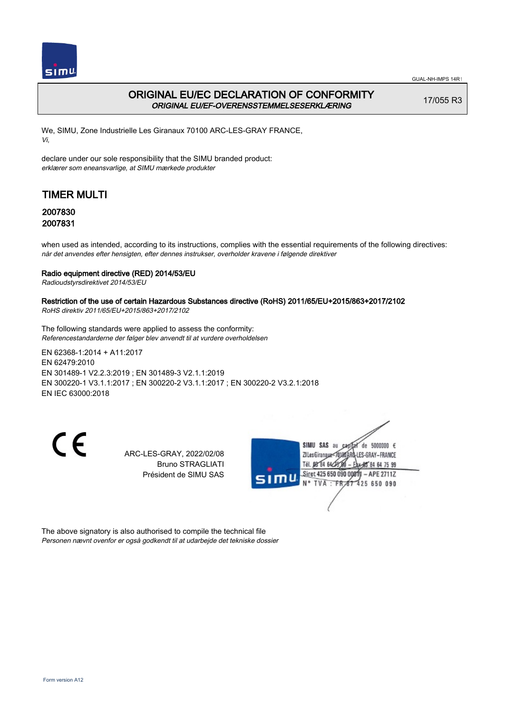

## ORIGINAL EU/EC DECLARATION OF CONFORMITY ORIGINAL EU/EF-OVERENSSTEMMELSESERKLÆRING

17/055 R3

We, SIMU, Zone Industrielle Les Giranaux 70100 ARC-LES-GRAY FRANCE, Vi,

declare under our sole responsibility that the SIMU branded product: erklærer som eneansvarlige, at SIMU mærkede produkter

## TIMER MULTI

### 2007830 2007831

when used as intended, according to its instructions, complies with the essential requirements of the following directives: når det anvendes efter hensigten, efter dennes instrukser, overholder kravene i følgende direktiver

### Radio equipment directive (RED) 2014/53/EU

Radioudstyrsdirektivet 2014/53/EU

### Restriction of the use of certain Hazardous Substances directive (RoHS) 2011/65/EU+2015/863+2017/2102

RoHS direktiv 2011/65/EU+2015/863+2017/2102

The following standards were applied to assess the conformity: Referencestandarderne der følger blev anvendt til at vurdere overholdelsen

EN 62368‑1:2014 + A11:2017 EN 62479:2010 EN 301489‑1 V2.2.3:2019 ; EN 301489‑3 V2.1.1:2019 EN 300220‑1 V3.1.1:2017 ; EN 300220‑2 V3.1.1:2017 ; EN 300220‑2 V3.2.1:2018 EN IEC 63000:2018

CE

ARC-LES-GRAY, 2022/02/08 Bruno STRAGLIATI Président de SIMU SAS



The above signatory is also authorised to compile the technical file Personen nævnt ovenfor er også godkendt til at udarbejde det tekniske dossier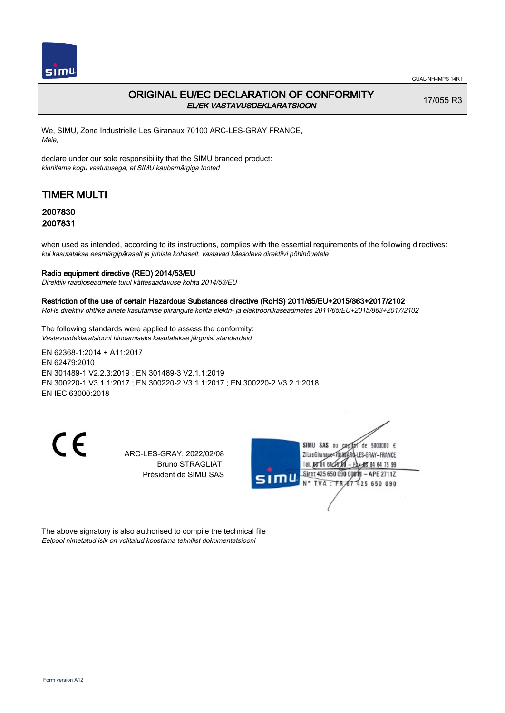

## ORIGINAL EU/EC DECLARATION OF CONFORMITY EL/EK VASTAVUSDEKLARATSIOON

17/055 R3

We, SIMU, Zone Industrielle Les Giranaux 70100 ARC-LES-GRAY FRANCE, Meie,

declare under our sole responsibility that the SIMU branded product: kinnitame kogu vastutusega, et SIMU kaubamärgiga tooted

# TIMER MULTI

### 2007830 2007831

when used as intended, according to its instructions, complies with the essential requirements of the following directives: kui kasutatakse eesmärgipäraselt ja juhiste kohaselt, vastavad käesoleva direktiivi põhinõuetele

#### Radio equipment directive (RED) 2014/53/EU

Direktiiv raadioseadmete turul kättesaadavuse kohta 2014/53/EU

#### Restriction of the use of certain Hazardous Substances directive (RoHS) 2011/65/EU+2015/863+2017/2102

RoHs direktiiv ohtlike ainete kasutamise piirangute kohta elektri- ja elektroonikaseadmetes 2011/65/EU+2015/863+2017/2102

The following standards were applied to assess the conformity: Vastavusdeklaratsiooni hindamiseks kasutatakse järgmisi standardeid

EN 62368‑1:2014 + A11:2017 EN 62479:2010 EN 301489‑1 V2.2.3:2019 ; EN 301489‑3 V2.1.1:2019 EN 300220‑1 V3.1.1:2017 ; EN 300220‑2 V3.1.1:2017 ; EN 300220‑2 V3.2.1:2018 EN IEC 63000:2018

CE

ARC-LES-GRAY, 2022/02/08 Bruno STRAGLIATI Président de SIMU SAS



The above signatory is also authorised to compile the technical file Eelpool nimetatud isik on volitatud koostama tehnilist dokumentatsiooni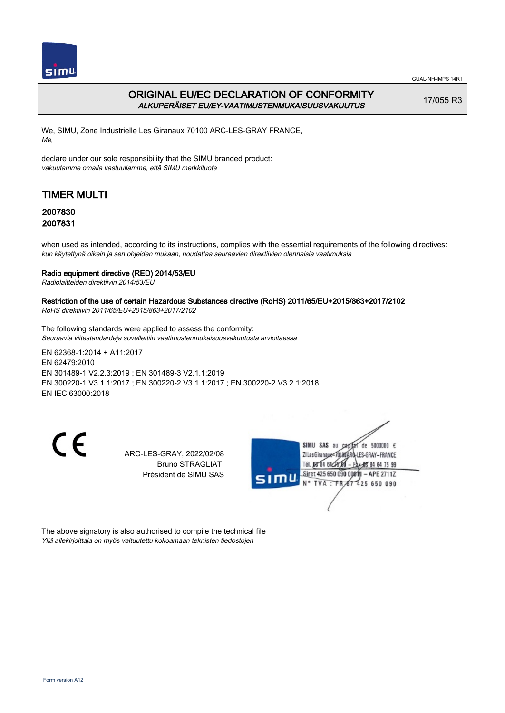

GUAL-NH-IMPS 14R1

## ORIGINAL EU/EC DECLARATION OF CONFORMITY ALKUPERÄISET EU/EY-VAATIMUSTENMUKAISUUSVAKUUTUS

17/055 R3

We, SIMU, Zone Industrielle Les Giranaux 70100 ARC-LES-GRAY FRANCE, Me,

declare under our sole responsibility that the SIMU branded product: vakuutamme omalla vastuullamme, että SIMU merkkituote

# TIMER MULTI

## 2007830 2007831

when used as intended, according to its instructions, complies with the essential requirements of the following directives: kun käytettynä oikein ja sen ohjeiden mukaan, noudattaa seuraavien direktiivien olennaisia vaatimuksia

### Radio equipment directive (RED) 2014/53/EU

Radiolaitteiden direktiivin 2014/53/EU

### Restriction of the use of certain Hazardous Substances directive (RoHS) 2011/65/EU+2015/863+2017/2102

RoHS direktiivin 2011/65/EU+2015/863+2017/2102

The following standards were applied to assess the conformity: Seuraavia viitestandardeja sovellettiin vaatimustenmukaisuusvakuutusta arvioitaessa

EN 62368‑1:2014 + A11:2017 EN 62479:2010 EN 301489‑1 V2.2.3:2019 ; EN 301489‑3 V2.1.1:2019 EN 300220‑1 V3.1.1:2017 ; EN 300220‑2 V3.1.1:2017 ; EN 300220‑2 V3.2.1:2018 EN IEC 63000:2018

CE

ARC-LES-GRAY, 2022/02/08 Bruno STRAGLIATI Président de SIMU SAS



The above signatory is also authorised to compile the technical file Yllä allekirjoittaja on myös valtuutettu kokoamaan teknisten tiedostojen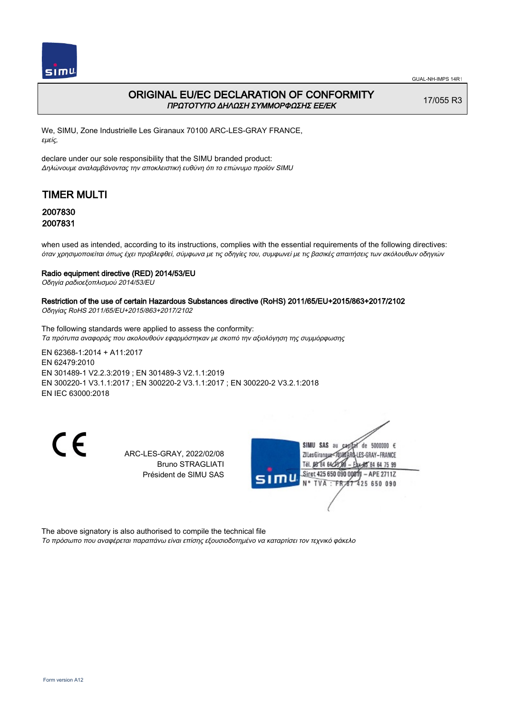

### ORIGINAL EU/EC DECLARATION OF CONFORMITY ΠΡΩΤΟΤΥΠΟ ΔΗΛΩΣΗ ΣΥΜΜΟΡΦΩΣΗΣ ΕΕ/EK

17/055 R3

We, SIMU, Zone Industrielle Les Giranaux 70100 ARC-LES-GRAY FRANCE, εμείς,

declare under our sole responsibility that the SIMU branded product: Δηλώνουμε αναλαμβάνοντας την αποκλειστική ευθύνη ότι το επώνυμο προϊόν SIMU

# TIMER MULTI

### 2007830 2007831

when used as intended, according to its instructions, complies with the essential requirements of the following directives: όταν χρησιμοποιείται όπως έχει προβλεφθεί, σύμφωνα με τις οδηγίες του, συμφωνεί με τις βασικές απαιτήσεις των ακόλουθων οδηγιών

### Radio equipment directive (RED) 2014/53/EU

Οδηγία ραδιοεξοπλισμού 2014/53/EU

## Restriction of the use of certain Hazardous Substances directive (RoHS) 2011/65/EU+2015/863+2017/2102

Οδηγίας RoHS 2011/65/EU+2015/863+2017/2102

The following standards were applied to assess the conformity: Τα πρότυπα αναφοράς που ακολουθούν εφαρμόστηκαν με σκοπό την αξιολόγηση της συμμόρφωσης

EN 62368‑1:2014 + A11:2017 EN 62479:2010 EN 301489‑1 V2.2.3:2019 ; EN 301489‑3 V2.1.1:2019 EN 300220‑1 V3.1.1:2017 ; EN 300220‑2 V3.1.1:2017 ; EN 300220‑2 V3.2.1:2018 EN IEC 63000:2018

CE

ARC-LES-GRAY, 2022/02/08 Bruno STRAGLIATI Président de SIMU SAS



The above signatory is also authorised to compile the technical file Το πρόσωπο που αναφέρεται παραπάνω είναι επίσης εξουσιοδοτημένο να καταρτίσει τον τεχνικό φάκελο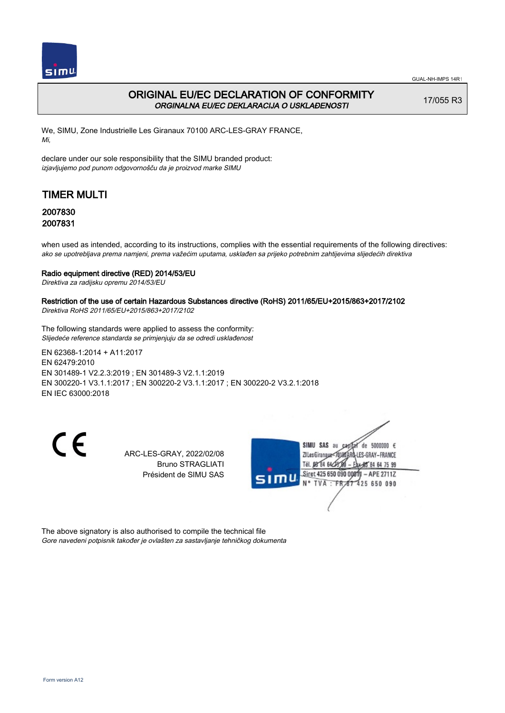

## ORIGINAL EU/EC DECLARATION OF CONFORMITY ORGINALNA EU/EC DEKLARACIJA O USKLAĐENOSTI

17/055 R3

We, SIMU, Zone Industrielle Les Giranaux 70100 ARC-LES-GRAY FRANCE, Mi,

declare under our sole responsibility that the SIMU branded product: izjavljujemo pod punom odgovornošču da je proizvod marke SIMU

# TIMER MULTI

### 2007830 2007831

when used as intended, according to its instructions, complies with the essential requirements of the following directives: ako se upotrebljava prema namjeni, prema važećim uputama, usklađen sa prijeko potrebnim zahtijevima slijedećih direktiva

### Radio equipment directive (RED) 2014/53/EU

Direktiva za radijsku opremu 2014/53/EU

### Restriction of the use of certain Hazardous Substances directive (RoHS) 2011/65/EU+2015/863+2017/2102

Direktiva RoHS 2011/65/EU+2015/863+2017/2102

The following standards were applied to assess the conformity: Slijedeće reference standarda se primjenjuju da se odredi usklađenost

EN 62368‑1:2014 + A11:2017 EN 62479:2010 EN 301489‑1 V2.2.3:2019 ; EN 301489‑3 V2.1.1:2019 EN 300220‑1 V3.1.1:2017 ; EN 300220‑2 V3.1.1:2017 ; EN 300220‑2 V3.2.1:2018 EN IEC 63000:2018

CE

ARC-LES-GRAY, 2022/02/08 Bruno STRAGLIATI Président de SIMU SAS



The above signatory is also authorised to compile the technical file Gore navedeni potpisnik također je ovlašten za sastavljanje tehničkog dokumenta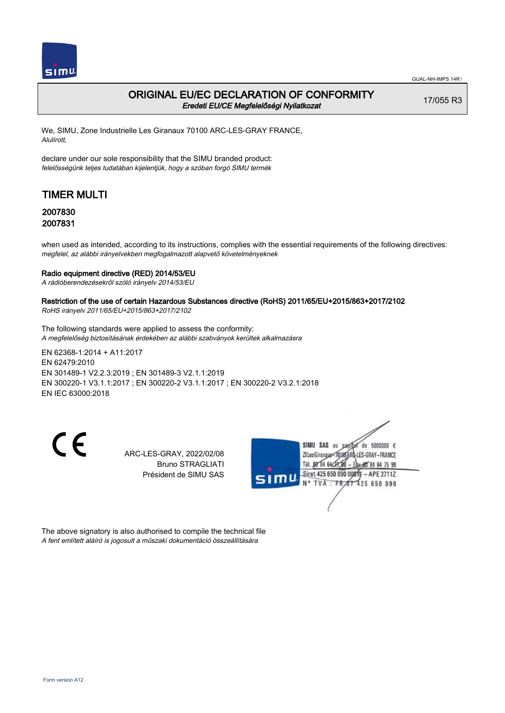

### ORIGINAL EU/EC DECLARATION OF CONFORMITY Eredeti EU/CE Megfelelőségi Nyilatkozat

17/055 R3

We, SIMU, Zone Industrielle Les Giranaux 70100 ARC-LES-GRAY FRANCE, Alulírott,

declare under our sole responsibility that the SIMU branded product: felelősségünk teljes tudatában kijelentjük, hogy a szóban forgó SIMU termék

# TIMER MULTI

### 2007830 2007831

when used as intended, according to its instructions, complies with the essential requirements of the following directives: megfelel, az alábbi irányelvekben megfogalmazott alapvető követelményeknek

#### Radio equipment directive (RED) 2014/53/EU

A rádióberendezésekről szóló irányelv 2014/53/EU

### Restriction of the use of certain Hazardous Substances directive (RoHS) 2011/65/EU+2015/863+2017/2102

RoHS irányelv 2011/65/EU+2015/863+2017/2102

The following standards were applied to assess the conformity: A megfelelőség biztosításának érdekében az alábbi szabványok kerültek alkalmazásra

EN 62368‑1:2014 + A11:2017 EN 62479:2010 EN 301489‑1 V2.2.3:2019 ; EN 301489‑3 V2.1.1:2019 EN 300220‑1 V3.1.1:2017 ; EN 300220‑2 V3.1.1:2017 ; EN 300220‑2 V3.2.1:2018 EN IEC 63000:2018

CE

ARC-LES-GRAY, 2022/02/08 Bruno STRAGLIATI Président de SIMU SAS



The above signatory is also authorised to compile the technical file A fent említett aláíró is jogosult a műszaki dokumentáció összeállítására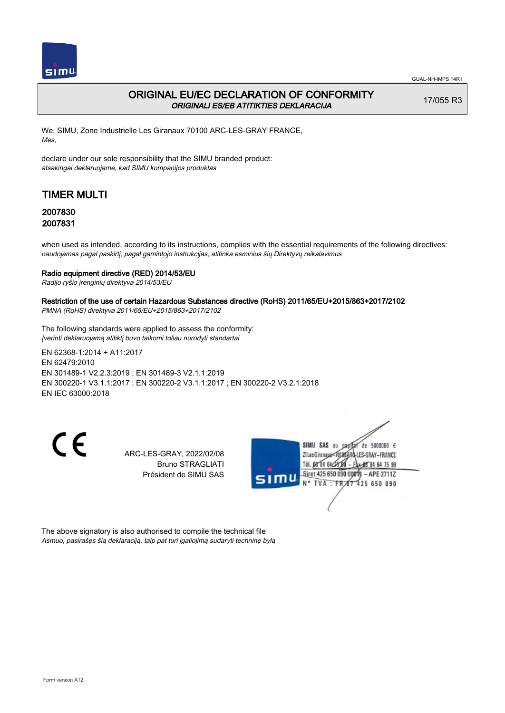

## ORIGINAL EU/EC DECLARATION OF CONFORMITY ORIGINALI ES/EB ATITIKTIES DEKLARACIJA

17/055 R3

We, SIMU, Zone Industrielle Les Giranaux 70100 ARC-LES-GRAY FRANCE, Mes,

declare under our sole responsibility that the SIMU branded product: atsakingai deklaruojame, kad SIMU kompanijos produktas

# TIMER MULTI

### 2007830 2007831

when used as intended, according to its instructions, complies with the essential requirements of the following directives: naudojamas pagal paskirtį, pagal gamintojo instrukcijas, atitinka esminius šių Direktyvų reikalavimus

### Radio equipment directive (RED) 2014/53/EU

Radijo ryšio įrenginių direktyva 2014/53/EU

### Restriction of the use of certain Hazardous Substances directive (RoHS) 2011/65/EU+2015/863+2017/2102

PMNA (RoHS) direktyva 2011/65/EU+2015/863+2017/2102

The following standards were applied to assess the conformity: Įverinti deklaruojamą atitiktį buvo taikomi toliau nurodyti standartai

EN 62368‑1:2014 + A11:2017 EN 62479:2010 EN 301489‑1 V2.2.3:2019 ; EN 301489‑3 V2.1.1:2019 EN 300220‑1 V3.1.1:2017 ; EN 300220‑2 V3.1.1:2017 ; EN 300220‑2 V3.2.1:2018 EN IEC 63000:2018

CE

ARC-LES-GRAY, 2022/02/08 Bruno STRAGLIATI Président de SIMU SAS



The above signatory is also authorised to compile the technical file Asmuo, pasirašęs šią deklaraciją, taip pat turi įgaliojimą sudaryti techninę bylą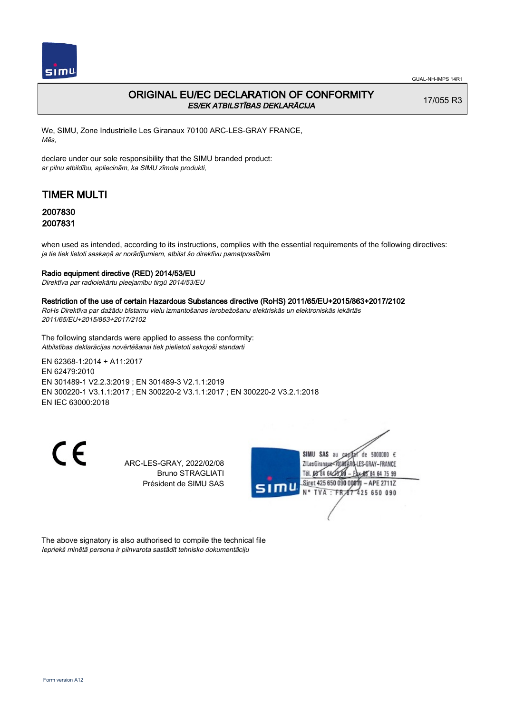

## ORIGINAL EU/EC DECLARATION OF CONFORMITY ES/EK ATBILSTĪBAS DEKLARĀCIJA

17/055 R3

We, SIMU, Zone Industrielle Les Giranaux 70100 ARC-LES-GRAY FRANCE, Mēs,

declare under our sole responsibility that the SIMU branded product: ar pilnu atbildību, apliecinām, ka SIMU zīmola produkti,

# TIMER MULTI

### 2007830 2007831

when used as intended, according to its instructions, complies with the essential requirements of the following directives: ja tie tiek lietoti saskaņā ar norādījumiem, atbilst šo direktīvu pamatprasībām

#### Radio equipment directive (RED) 2014/53/EU

Direktīva par radioiekārtu pieejamību tirgū 2014/53/EU

#### Restriction of the use of certain Hazardous Substances directive (RoHS) 2011/65/EU+2015/863+2017/2102

RoHs Direktīva par dažādu bīstamu vielu izmantošanas ierobežošanu elektriskās un elektroniskās iekārtās 2011/65/EU+2015/863+2017/2102

The following standards were applied to assess the conformity: Atbilstības deklarācijas novērtēšanai tiek pielietoti sekojoši standarti

EN 62368‑1:2014 + A11:2017 EN 62479:2010 EN 301489‑1 V2.2.3:2019 ; EN 301489‑3 V2.1.1:2019 EN 300220‑1 V3.1.1:2017 ; EN 300220‑2 V3.1.1:2017 ; EN 300220‑2 V3.2.1:2018 EN IEC 63000:2018

 $\epsilon$ 

ARC-LES-GRAY, 2022/02/08 Bruno STRAGLIATI Président de SIMU SAS



The above signatory is also authorised to compile the technical file Iepriekš minētā persona ir pilnvarota sastādīt tehnisko dokumentāciju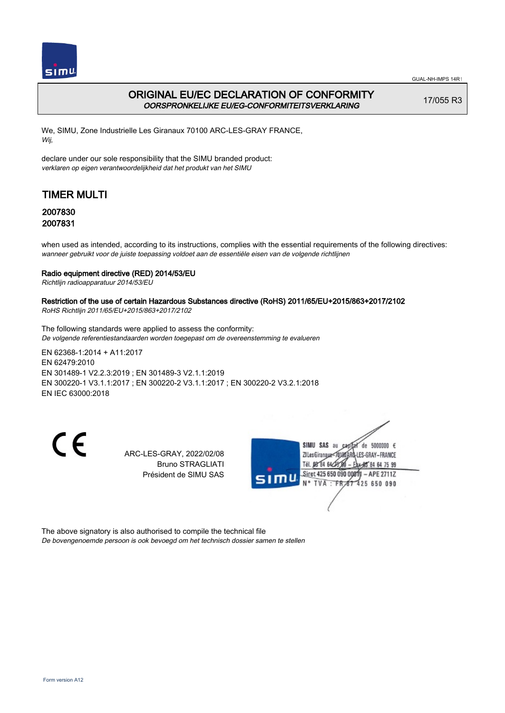

## ORIGINAL EU/EC DECLARATION OF CONFORMITY OORSPRONKELIJKE EU/EG-CONFORMITEITSVERKLARING

17/055 R3

We, SIMU, Zone Industrielle Les Giranaux 70100 ARC-LES-GRAY FRANCE, Wij,

declare under our sole responsibility that the SIMU branded product: verklaren op eigen verantwoordelijkheid dat het produkt van het SIMU

# TIMER MULTI

### 2007830 2007831

when used as intended, according to its instructions, complies with the essential requirements of the following directives: wanneer gebruikt voor de juiste toepassing voldoet aan de essentiële eisen van de volgende richtlijnen

### Radio equipment directive (RED) 2014/53/EU

Richtlijn radioapparatuur 2014/53/EU

## Restriction of the use of certain Hazardous Substances directive (RoHS) 2011/65/EU+2015/863+2017/2102

RoHS Richtlijn 2011/65/EU+2015/863+2017/2102

The following standards were applied to assess the conformity: De volgende referentiestandaarden worden toegepast om de overeenstemming te evalueren

EN 62368‑1:2014 + A11:2017 EN 62479:2010 EN 301489‑1 V2.2.3:2019 ; EN 301489‑3 V2.1.1:2019 EN 300220‑1 V3.1.1:2017 ; EN 300220‑2 V3.1.1:2017 ; EN 300220‑2 V3.2.1:2018 EN IEC 63000:2018

CE

ARC-LES-GRAY, 2022/02/08 Bruno STRAGLIATI Président de SIMU SAS



The above signatory is also authorised to compile the technical file De bovengenoemde persoon is ook bevoegd om het technisch dossier samen te stellen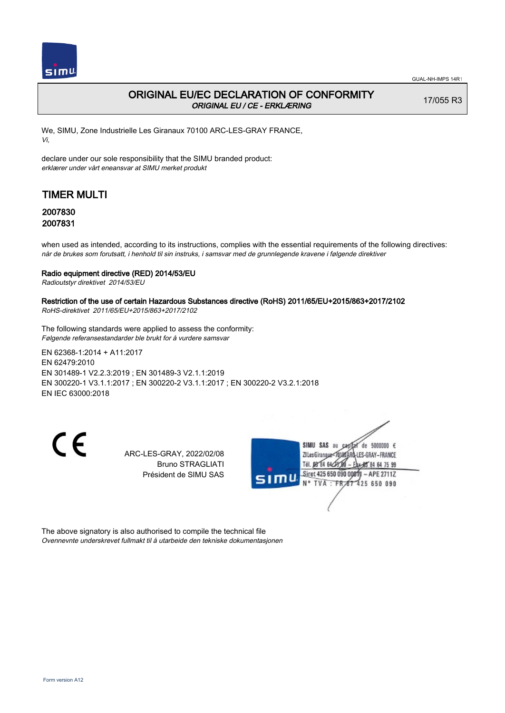

## ORIGINAL EU/EC DECLARATION OF CONFORMITY ORIGINAL EU / CE - ERKLÆRING

17/055 R3

We, SIMU, Zone Industrielle Les Giranaux 70100 ARC-LES-GRAY FRANCE, Vi,

declare under our sole responsibility that the SIMU branded product: erklærer under vårt eneansvar at SIMU merket produkt

# TIMER MULTI

### 2007830 2007831

when used as intended, according to its instructions, complies with the essential requirements of the following directives: når de brukes som forutsatt, i henhold til sin instruks, i samsvar med de grunnlegende kravene i følgende direktiver

### Radio equipment directive (RED) 2014/53/EU

Radioutstyr direktivet 2014/53/EU

### Restriction of the use of certain Hazardous Substances directive (RoHS) 2011/65/EU+2015/863+2017/2102

RoHS-direktivet 2011/65/EU+2015/863+2017/2102

The following standards were applied to assess the conformity: Følgende referansestandarder ble brukt for å vurdere samsvar

EN 62368‑1:2014 + A11:2017 EN 62479:2010 EN 301489‑1 V2.2.3:2019 ; EN 301489‑3 V2.1.1:2019 EN 300220‑1 V3.1.1:2017 ; EN 300220‑2 V3.1.1:2017 ; EN 300220‑2 V3.2.1:2018 EN IEC 63000:2018

CE

ARC-LES-GRAY, 2022/02/08 Bruno STRAGLIATI Président de SIMU SAS



The above signatory is also authorised to compile the technical file Ovennevnte underskrevet fullmakt til å utarbeide den tekniske dokumentasjonen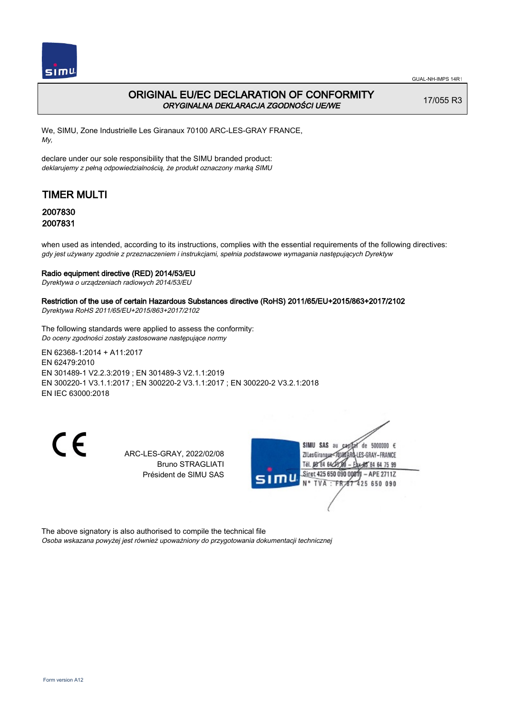

## ORIGINAL EU/EC DECLARATION OF CONFORMITY ORYGINALNA DEKLARACJA ZGODNOŚCI UE/WE

17/055 R3

We, SIMU, Zone Industrielle Les Giranaux 70100 ARC-LES-GRAY FRANCE, My,

declare under our sole responsibility that the SIMU branded product: deklarujemy z pełną odpowiedzialnością, że produkt oznaczony marką SIMU

# TIMER MULTI

### 2007830 2007831

when used as intended, according to its instructions, complies with the essential requirements of the following directives: gdy jest używany zgodnie z przeznaczeniem i instrukcjami, spełnia podstawowe wymagania następujących Dyrektyw

### Radio equipment directive (RED) 2014/53/EU

Dyrektywa o urządzeniach radiowych 2014/53/EU

### Restriction of the use of certain Hazardous Substances directive (RoHS) 2011/65/EU+2015/863+2017/2102

Dyrektywa RoHS 2011/65/EU+2015/863+2017/2102

The following standards were applied to assess the conformity: Do oceny zgodności zostały zastosowane następujące normy

EN 62368‑1:2014 + A11:2017 EN 62479:2010 EN 301489‑1 V2.2.3:2019 ; EN 301489‑3 V2.1.1:2019 EN 300220‑1 V3.1.1:2017 ; EN 300220‑2 V3.1.1:2017 ; EN 300220‑2 V3.2.1:2018 EN IEC 63000:2018

CE

ARC-LES-GRAY, 2022/02/08 Bruno STRAGLIATI Président de SIMU SAS



The above signatory is also authorised to compile the technical file Osoba wskazana powyżej jest również upoważniony do przygotowania dokumentacji technicznej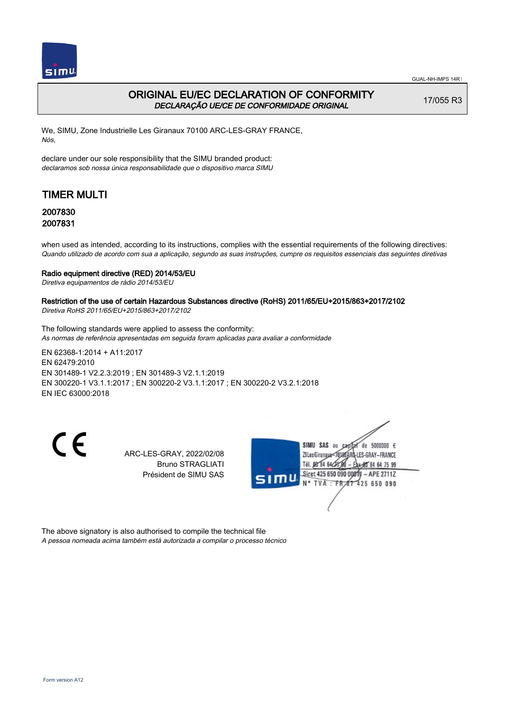

## ORIGINAL EU/EC DECLARATION OF CONFORMITY DECLARAÇÃO UE/CE DE CONFORMIDADE ORIGINAL

17/055 R3

We, SIMU, Zone Industrielle Les Giranaux 70100 ARC-LES-GRAY FRANCE, Nós,

declare under our sole responsibility that the SIMU branded product: declaramos sob nossa única responsabilidade que o dispositivo marca SIMU

# TIMER MULTI

### 2007830 2007831

when used as intended, according to its instructions, complies with the essential requirements of the following directives: Quando utilizado de acordo com sua a aplicação, segundo as suas instruções, cumpre os requisitos essenciais das seguintes diretivas

#### Radio equipment directive (RED) 2014/53/EU

Diretiva equipamentos de rádio 2014/53/EU

## Restriction of the use of certain Hazardous Substances directive (RoHS) 2011/65/EU+2015/863+2017/2102

Diretiva RoHS 2011/65/EU+2015/863+2017/2102

The following standards were applied to assess the conformity: As normas de referência apresentadas em seguida foram aplicadas para avaliar a conformidade

EN 62368‑1:2014 + A11:2017 EN 62479:2010 EN 301489‑1 V2.2.3:2019 ; EN 301489‑3 V2.1.1:2019 EN 300220‑1 V3.1.1:2017 ; EN 300220‑2 V3.1.1:2017 ; EN 300220‑2 V3.2.1:2018 EN IEC 63000:2018

CE

ARC-LES-GRAY, 2022/02/08 Bruno STRAGLIATI Président de SIMU SAS



The above signatory is also authorised to compile the technical file A pessoa nomeada acima também está autorizada a compilar o processo técnico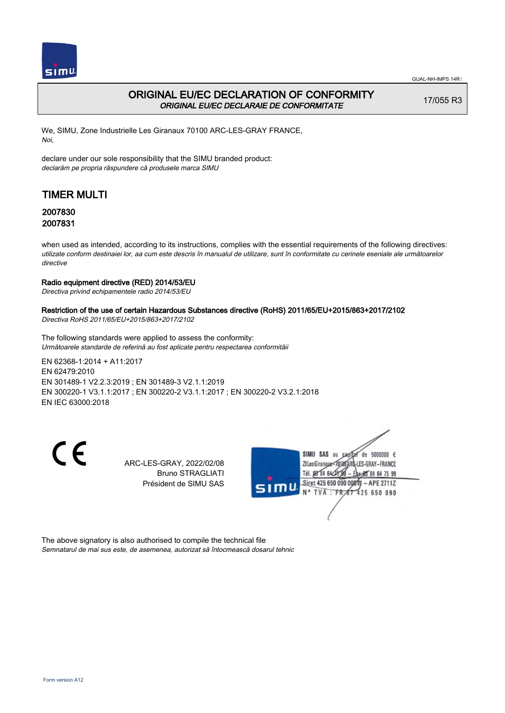

## ORIGINAL EU/EC DECLARATION OF CONFORMITY ORIGINAL EU/EC DECLARAIE DE CONFORMITATE

17/055 R3

We, SIMU, Zone Industrielle Les Giranaux 70100 ARC-LES-GRAY FRANCE, Noi,

declare under our sole responsibility that the SIMU branded product: declarăm pe propria răspundere că produsele marca SIMU

# TIMER MULTI

### 2007830 2007831

when used as intended, according to its instructions, complies with the essential requirements of the following directives: utilizate conform destinaiei lor, aa cum este descris în manualul de utilizare, sunt în conformitate cu cerinele eseniale ale următoarelor directive

### Radio equipment directive (RED) 2014/53/EU

Directiva privind echipamentele radio 2014/53/EU

### Restriction of the use of certain Hazardous Substances directive (RoHS) 2011/65/EU+2015/863+2017/2102

Directiva RoHS 2011/65/EU+2015/863+2017/2102

The following standards were applied to assess the conformity: Următoarele standarde de referină au fost aplicate pentru respectarea conformităii

EN 62368‑1:2014 + A11:2017 EN 62479:2010 EN 301489‑1 V2.2.3:2019 ; EN 301489‑3 V2.1.1:2019 EN 300220‑1 V3.1.1:2017 ; EN 300220‑2 V3.1.1:2017 ; EN 300220‑2 V3.2.1:2018 EN IEC 63000:2018

 $\epsilon$ 

ARC-LES-GRAY, 2022/02/08 Bruno STRAGLIATI Président de SIMU SAS



The above signatory is also authorised to compile the technical file Semnatarul de mai sus este, de asemenea, autorizat să întocmească dosarul tehnic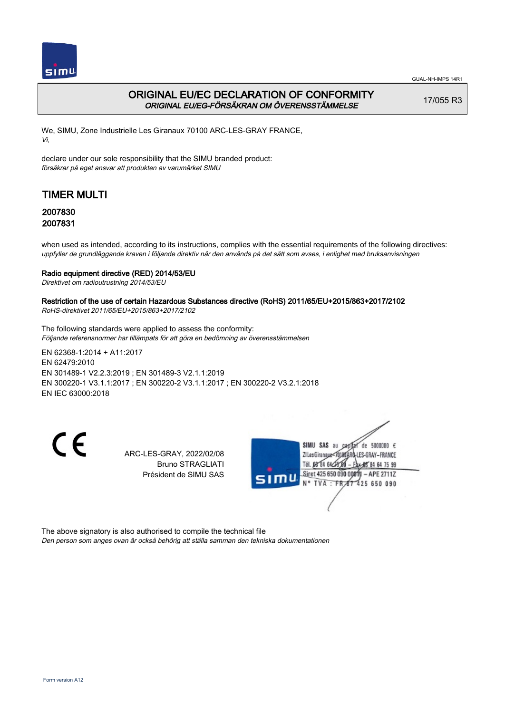

GUAL-NH-IMPS 14R1

## ORIGINAL EU/EC DECLARATION OF CONFORMITY ORIGINAL EU/EG-FÖRSÄKRAN OM ÖVERENSSTÄMMELSE

17/055 R3

We, SIMU, Zone Industrielle Les Giranaux 70100 ARC-LES-GRAY FRANCE, Vi,

declare under our sole responsibility that the SIMU branded product: försäkrar på eget ansvar att produkten av varumärket SIMU

# TIMER MULTI

### 2007830 2007831

when used as intended, according to its instructions, complies with the essential requirements of the following directives: uppfyller de grundläggande kraven i följande direktiv när den används på det sätt som avses, i enlighet med bruksanvisningen

### Radio equipment directive (RED) 2014/53/EU

Direktivet om radioutrustning 2014/53/EU

### Restriction of the use of certain Hazardous Substances directive (RoHS) 2011/65/EU+2015/863+2017/2102

RoHS-direktivet 2011/65/EU+2015/863+2017/2102

The following standards were applied to assess the conformity: Följande referensnormer har tillämpats för att göra en bedömning av överensstämmelsen

EN 62368‑1:2014 + A11:2017 EN 62479:2010 EN 301489‑1 V2.2.3:2019 ; EN 301489‑3 V2.1.1:2019 EN 300220‑1 V3.1.1:2017 ; EN 300220‑2 V3.1.1:2017 ; EN 300220‑2 V3.2.1:2018 EN IEC 63000:2018

CE

ARC-LES-GRAY, 2022/02/08 Bruno STRAGLIATI Président de SIMU SAS



The above signatory is also authorised to compile the technical file Den person som anges ovan är också behörig att ställa samman den tekniska dokumentationen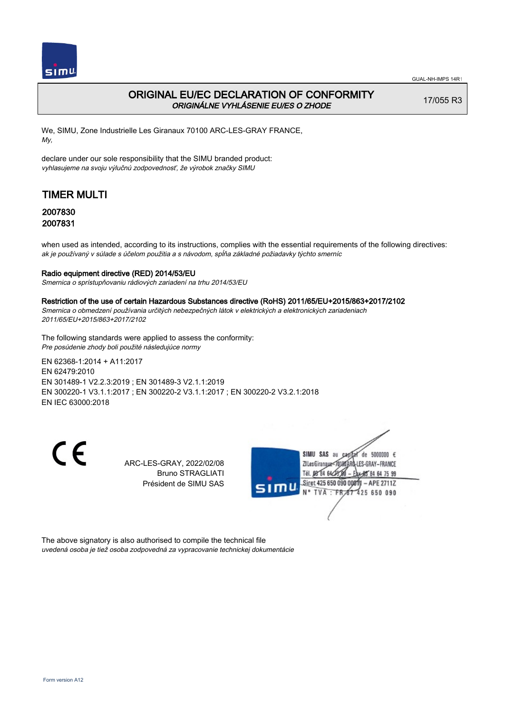

## ORIGINAL EU/EC DECLARATION OF CONFORMITY ORIGINÁLNE VYHLÁSENIE EU/ES O ZHODE

17/055 R3

We, SIMU, Zone Industrielle Les Giranaux 70100 ARC-LES-GRAY FRANCE, My,

declare under our sole responsibility that the SIMU branded product: vyhlasujeme na svoju výlučnú zodpovednosť, že výrobok značky SIMU

# TIMER MULTI

### 2007830 2007831

when used as intended, according to its instructions, complies with the essential requirements of the following directives: ak je používaný v súlade s účelom použitia a s návodom, spĺňa základné požiadavky týchto smerníc

### Radio equipment directive (RED) 2014/53/EU

Smernica o sprístupňovaniu rádiových zariadení na trhu 2014/53/EU

#### Restriction of the use of certain Hazardous Substances directive (RoHS) 2011/65/EU+2015/863+2017/2102

Smernica o obmedzení používania určitých nebezpečných látok v elektrických a elektronických zariadeniach 2011/65/EU+2015/863+2017/2102

The following standards were applied to assess the conformity: Pre posúdenie zhody boli použité následujúce normy

EN 62368‑1:2014 + A11:2017 EN 62479:2010 EN 301489‑1 V2.2.3:2019 ; EN 301489‑3 V2.1.1:2019 EN 300220‑1 V3.1.1:2017 ; EN 300220‑2 V3.1.1:2017 ; EN 300220‑2 V3.2.1:2018 EN IEC 63000:2018

C E

ARC-LES-GRAY, 2022/02/08 Bruno STRAGLIATI Président de SIMU SAS



The above signatory is also authorised to compile the technical file uvedená osoba je tiež osoba zodpovedná za vypracovanie technickej dokumentácie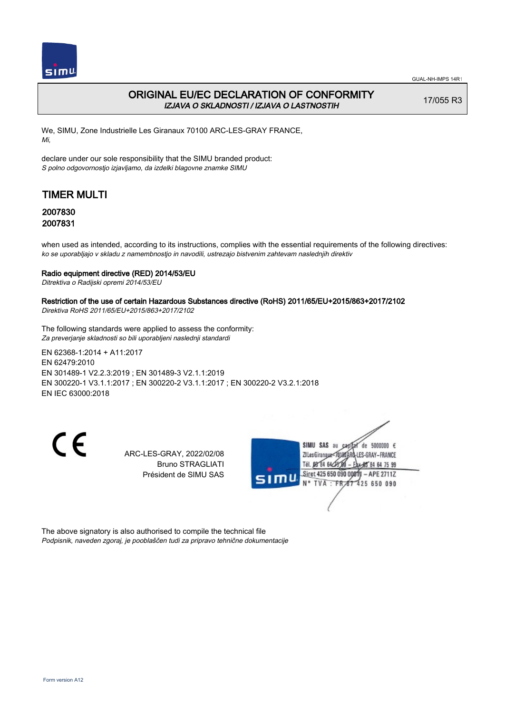

## ORIGINAL EU/EC DECLARATION OF CONFORMITY IZJAVA O SKLADNOSTI / IZJAVA O LASTNOSTIH

17/055 R3

We, SIMU, Zone Industrielle Les Giranaux 70100 ARC-LES-GRAY FRANCE, Mi,

declare under our sole responsibility that the SIMU branded product: S polno odgovornostjo izjavljamo, da izdelki blagovne znamke SIMU

# TIMER MULTI

### 2007830 2007831

when used as intended, according to its instructions, complies with the essential requirements of the following directives: ko se uporabljajo v skladu z namembnostjo in navodili, ustrezajo bistvenim zahtevam naslednjih direktiv

### Radio equipment directive (RED) 2014/53/EU

Ditrektiva o Radijski opremi 2014/53/EU

### Restriction of the use of certain Hazardous Substances directive (RoHS) 2011/65/EU+2015/863+2017/2102

Direktiva RoHS 2011/65/EU+2015/863+2017/2102

The following standards were applied to assess the conformity: Za preverjanje skladnosti so bili uporabljeni naslednji standardi

EN 62368‑1:2014 + A11:2017 EN 62479:2010 EN 301489‑1 V2.2.3:2019 ; EN 301489‑3 V2.1.1:2019 EN 300220‑1 V3.1.1:2017 ; EN 300220‑2 V3.1.1:2017 ; EN 300220‑2 V3.2.1:2018 EN IEC 63000:2018

CE

ARC-LES-GRAY, 2022/02/08 Bruno STRAGLIATI Président de SIMU SAS



The above signatory is also authorised to compile the technical file Podpisnik, naveden zgoraj, je pooblaščen tudi za pripravo tehnične dokumentacije